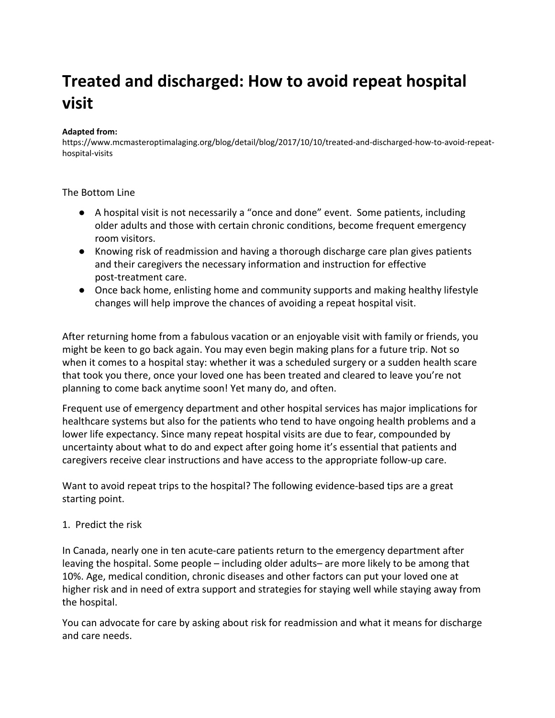# **Treated and discharged: How to avoid repeat hospital visit**

#### **Adapted from:**

https://www.mcmasteroptimalaging.org/blog/detail/blog/2017/10/10/treated-and-discharged-how-to-avoid-repeathospital-visits

#### The Bottom Line

- A hospital visit is not necessarily a "once and done" event. Some patients, including older adults and those with certain chronic conditions, become frequent emergency room visitors.
- Knowing risk of readmission and having a thorough discharge care plan gives patients and their caregivers the necessary information and instruction for effective post-treatment care.
- Once back home, enlisting home and community supports and making healthy lifestyle changes will help improve the chances of avoiding a repeat hospital visit.

After returning home from a fabulous vacation or an enjoyable visit with family or friends, you might be keen to go back again. You may even begin making plans for a future trip. Not so when it comes to a hospital stay: whether it was a scheduled surgery or a sudden health scare that took you there, once your loved one has been treated and cleared to leave you're not planning to come back anytime soon! Yet many do, and often.

Frequent use of emergency department and other hospital services has major implications for healthcare systems but also for the patients who tend to have ongoing health problems and a lower life expectancy. Since many repeat hospital visits are due to fear, compounded by uncertainty about what to do and expect after going home it's essential that patients and caregivers receive clear instructions and have access to the appropriate follow-up care.

Want to avoid repeat trips to the hospital? The following evidence-based tips are a great starting point.

#### 1. Predict the risk

In Canada, nearly one in ten acute-care patients return to the emergency department after leaving the hospital. Some people – including older adults– are more likely to be among that 10%. Age, medical condition, chronic diseases and other factors can put your loved one at higher risk and in need of extra support and strategies for staying well while staying away from the hospital.

You can advocate for care by asking about risk for readmission and what it means for discharge and care needs.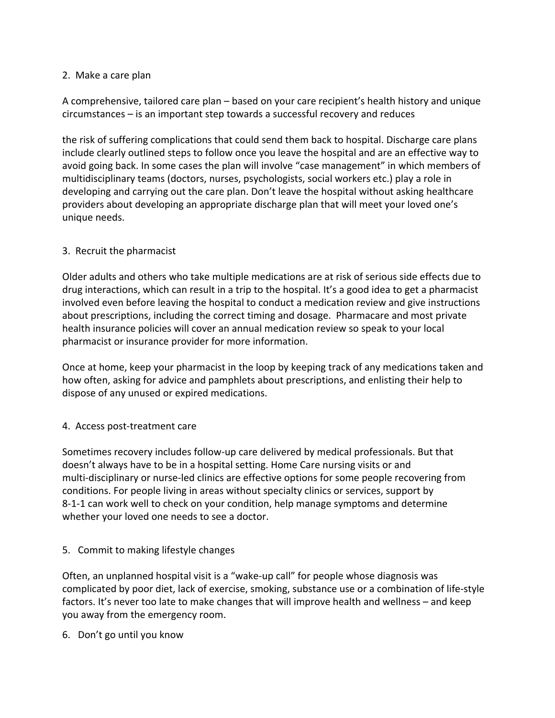## 2. Make a care plan

A comprehensive, tailored care plan – based on your care recipient's health history and unique circumstances – is an important step towards a successful recovery and reduces

the risk of suffering complications that could send them back to hospital. Discharge care plans include clearly outlined steps to follow once you leave the hospital and are an effective way to avoid going back. In some cases the plan will involve "case management" in which members of multidisciplinary teams (doctors, nurses, psychologists, social workers etc.) play a role in developing and carrying out the care plan. Don't leave the hospital without asking healthcare providers about developing an appropriate discharge plan that will meet your loved one's unique needs.

## 3. Recruit the pharmacist

Older adults and others who take multiple medications are at risk of serious side effects due to drug interactions, which can result in a trip to the hospital. It's a good idea to get a pharmacist involved even before leaving the hospital to conduct a medication review and give instructions about prescriptions, including the correct timing and dosage. Pharmacare and most private health insurance policies will cover an annual medication review so speak to your local pharmacist or insurance provider for more information.

Once at home, keep your pharmacist in the loop by keeping track of any medications taken and how often, asking for advice and pamphlets about prescriptions, and enlisting their help to dispose of any unused or expired medications.

## 4. Access post-treatment care

Sometimes recovery includes follow-up care delivered by medical professionals. But that doesn't always have to be in a hospital setting. Home Care nursing visits or and multi-disciplinary or nurse-led clinics are effective options for some people recovering from conditions. For people living in areas without specialty clinics or services, support by 8-1-1 can work well to check on your condition, help manage symptoms and determine whether your loved one needs to see a doctor.

## 5. Commit to making lifestyle changes

Often, an unplanned hospital visit is a "wake-up call" for people whose diagnosis was complicated by poor diet, lack of exercise, smoking, substance use or a combination of life-style factors. It's never too late to make changes that will improve health and wellness – and keep you away from the emergency room.

6. Don't go until you know